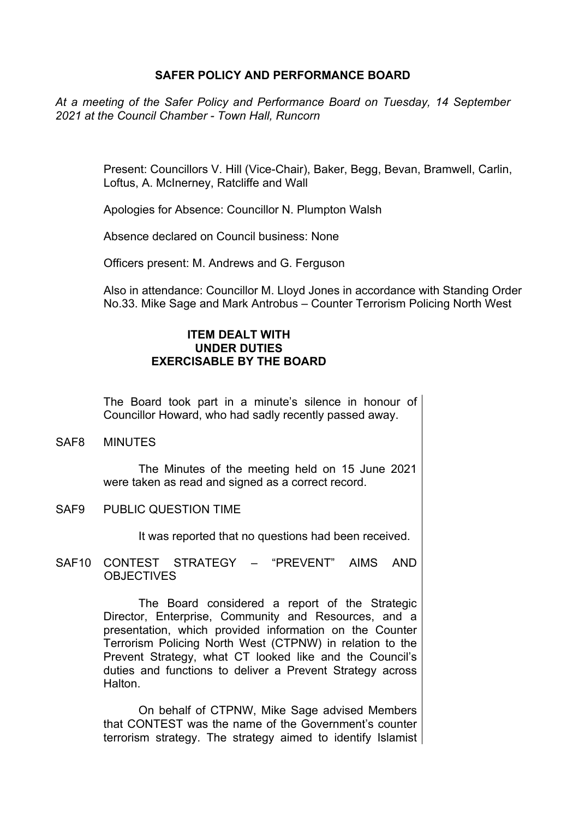## **SAFER POLICY AND PERFORMANCE BOARD**

*At a meeting of the Safer Policy and Performance Board on Tuesday, 14 September 2021 at the Council Chamber - Town Hall, Runcorn*

> Present: Councillors V. Hill (Vice-Chair), Baker, Begg, Bevan, Bramwell, Carlin, Loftus, A. McInerney, Ratcliffe and Wall

Apologies for Absence: Councillor N. Plumpton Walsh

Absence declared on Council business: None

Officers present: M. Andrews and G. Ferguson

Also in attendance: Councillor M. Lloyd Jones in accordance with Standing Order No.33. Mike Sage and Mark Antrobus – Counter Terrorism Policing North West

## **ITEM DEALT WITH UNDER DUTIES EXERCISABLE BY THE BOARD**

The Board took part in a minute's silence in honour of Councillor Howard, who had sadly recently passed away.

SAF8 MINUTES

The Minutes of the meeting held on 15 June 2021 were taken as read and signed as a correct record.

SAF9 PUBLIC QUESTION TIME

It was reported that no questions had been received.

SAF10 CONTEST STRATEGY – "PREVENT" AIMS AND OBJECTIVES

> The Board considered a report of the Strategic Director, Enterprise, Community and Resources, and a presentation, which provided information on the Counter Terrorism Policing North West (CTPNW) in relation to the Prevent Strategy, what CT looked like and the Council's duties and functions to deliver a Prevent Strategy across **Halton**

> On behalf of CTPNW, Mike Sage advised Members that CONTEST was the name of the Government's counter terrorism strategy. The strategy aimed to identify Islamist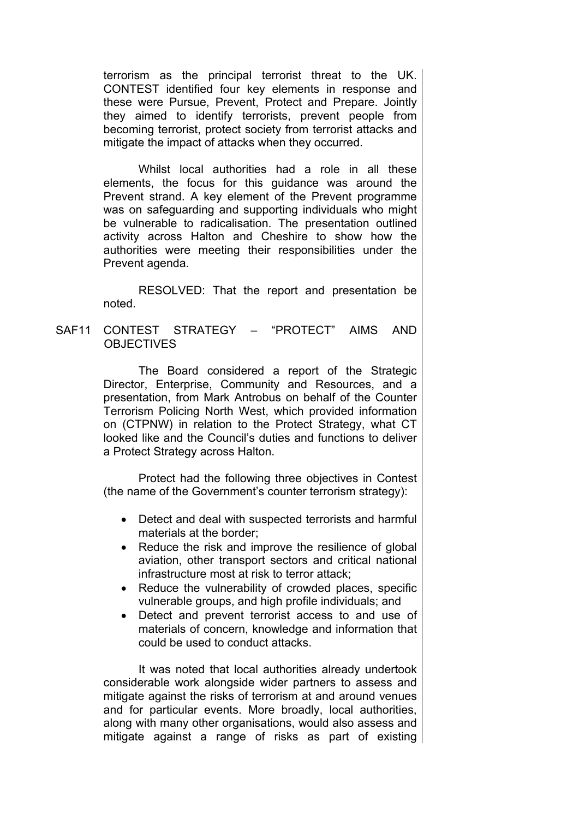terrorism as the principal terrorist threat to the UK. CONTEST identified four key elements in response and these were Pursue, Prevent, Protect and Prepare. Jointly they aimed to identify terrorists, prevent people from becoming terrorist, protect society from terrorist attacks and mitigate the impact of attacks when they occurred.

Whilst local authorities had a role in all these elements, the focus for this guidance was around the Prevent strand. A key element of the Prevent programme was on safeguarding and supporting individuals who might be vulnerable to radicalisation. The presentation outlined activity across Halton and Cheshire to show how the authorities were meeting their responsibilities under the Prevent agenda.

RESOLVED: That the report and presentation be noted.

SAF11 CONTEST STRATEGY – "PROTECT" AIMS AND **OBJECTIVES** 

> The Board considered a report of the Strategic Director, Enterprise, Community and Resources, and a presentation, from Mark Antrobus on behalf of the Counter Terrorism Policing North West, which provided information on (CTPNW) in relation to the Protect Strategy, what CT looked like and the Council's duties and functions to deliver a Protect Strategy across Halton.

> Protect had the following three objectives in Contest (the name of the Government's counter terrorism strategy):

- Detect and deal with suspected terrorists and harmful materials at the border;
- Reduce the risk and improve the resilience of global aviation, other transport sectors and critical national infrastructure most at risk to terror attack;
- Reduce the vulnerability of crowded places, specific vulnerable groups, and high profile individuals; and
- Detect and prevent terrorist access to and use of materials of concern, knowledge and information that could be used to conduct attacks.

It was noted that local authorities already undertook considerable work alongside wider partners to assess and mitigate against the risks of terrorism at and around venues and for particular events. More broadly, local authorities, along with many other organisations, would also assess and mitigate against a range of risks as part of existing